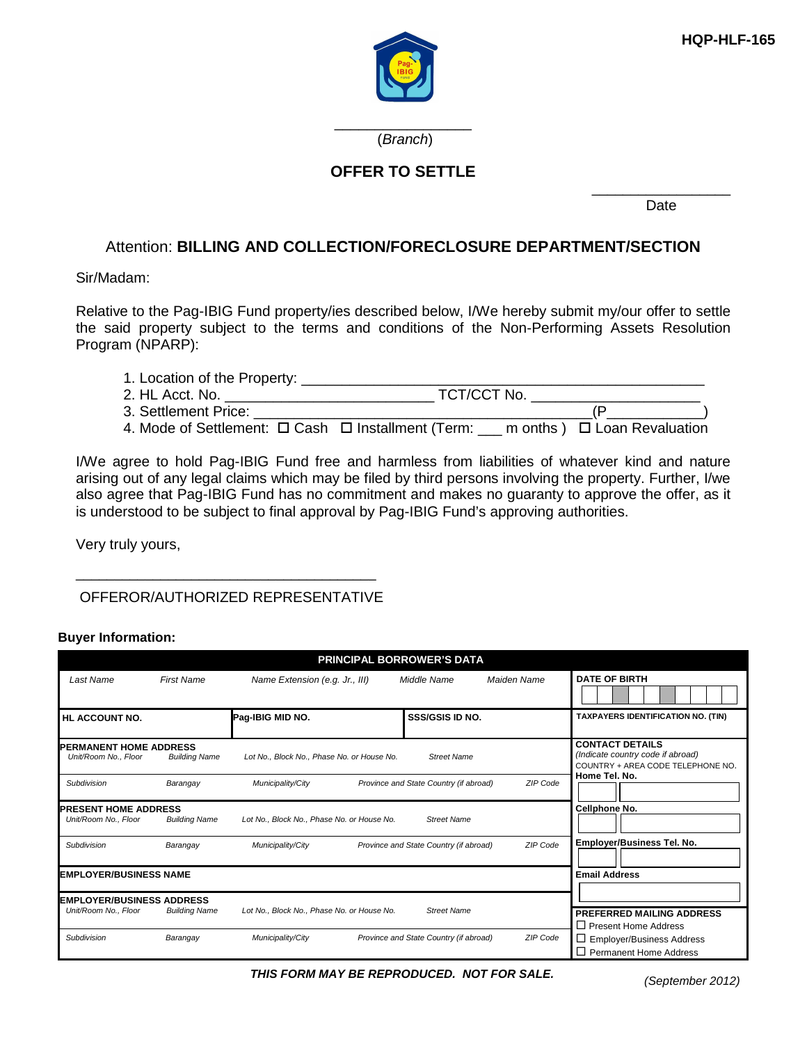

\_\_\_\_\_\_\_\_\_\_\_\_\_\_\_\_\_ (Branch)

## **OFFER TO SETTLE**

\_\_\_\_\_\_\_\_\_\_\_\_\_\_\_\_\_\_ Date

# Attention: **BILLING AND COLLECTION/FORECLOSURE DEPARTMENT/SECTION**

### Sir/Madam:

Relative to the Pag-IBIG Fund property/ies described below, I/We hereby submit my/our offer to settle the said property subject to the terms and conditions of the Non-Performing Assets Resolution Program (NPARP):

| 1. Location of the Property: |                                                                                                    |  |
|------------------------------|----------------------------------------------------------------------------------------------------|--|
| 2. HL Acct. No.              | TCT/CCT No.                                                                                        |  |
| 3. Settlement Price:         |                                                                                                    |  |
|                              | 4. Mode of Settlement: $\Box$ Cash $\Box$ Installment (Term: ___ m onths ) $\Box$ Loan Revaluation |  |

I/We agree to hold Pag-IBIG Fund free and harmless from liabilities of whatever kind and nature arising out of any legal claims which may be filed by third persons involving the property. Further, I/we also agree that Pag-IBIG Fund has no commitment and makes no guaranty to approve the offer, as it is understood to be subject to final approval by Pag-IBIG Fund's approving authorities.

Very truly yours,

# \_\_\_\_\_\_\_\_\_\_\_\_\_\_\_\_\_\_\_\_\_\_\_\_\_\_\_\_\_\_\_\_\_\_\_\_\_\_\_ OFFEROR/AUTHORIZED REPRESENTATIVE

#### **Buyer Information:**

|                                                        |                      |                                            | <b>PRINCIPAL BORROWER'S DATA</b>       |             |                                                                                                  |
|--------------------------------------------------------|----------------------|--------------------------------------------|----------------------------------------|-------------|--------------------------------------------------------------------------------------------------|
| Last Name                                              | <b>First Name</b>    | Name Extension (e.g. Jr., III)             | Middle Name                            | Maiden Name | <b>DATE OF BIRTH</b>                                                                             |
| HL ACCOUNT NO.                                         |                      | Pag-IBIG MID NO.                           | <b>SSS/GSIS ID NO.</b>                 |             | <b>TAXPAYERS IDENTIFICATION NO. (TIN)</b>                                                        |
| <b>IPERMANENT HOME ADDRESS</b><br>Unit/Room No., Floor | <b>Building Name</b> | Lot No., Block No., Phase No. or House No. | <b>Street Name</b>                     |             | <b>CONTACT DETAILS</b><br>(Indicate country code if abroad)<br>COUNTRY + AREA CODE TELEPHONE NO. |
| Subdivision                                            | Barangay             | Municipality/City                          | Province and State Country (if abroad) | ZIP Code    | Home Tel. No.                                                                                    |
| <b>PRESENT HOME ADDRESS</b><br>Unit/Room No., Floor    | <b>Building Name</b> | Lot No., Block No., Phase No. or House No. | <b>Street Name</b>                     |             | Cellphone No.                                                                                    |
| Subdivision                                            | Barangay             | Municipality/City                          | Province and State Country (if abroad) | ZIP Code    | Employer/Business Tel. No.                                                                       |
| <b>EMPLOYER/BUSINESS NAME</b>                          |                      |                                            |                                        |             | <b>Email Address</b>                                                                             |
| <b>EMPLOYER/BUSINESS ADDRESS</b>                       |                      |                                            |                                        |             |                                                                                                  |
| Unit/Room No., Floor                                   | <b>Building Name</b> | Lot No., Block No., Phase No. or House No. | <b>Street Name</b>                     |             | PREFERRED MAILING ADDRESS<br>$\Box$ Present Home Address                                         |
| Subdivision                                            | Barangay             | Municipality/City                          | Province and State Country (if abroad) | ZIP Code    | $\Box$ Employer/Business Address<br>$\Box$ Permanent Home Address                                |

(September 2012) **THIS FORM MAY BE REPRODUCED. NOT FOR SALE.**